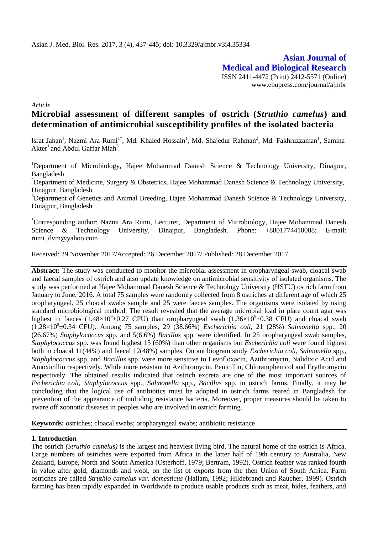**Asian Journal of Medical and Biological Research** ISSN 2411-4472 (Print) 2412-5571 (Online) www.ebupress.com/journal/ajmbr

*Article*

# **Microbial assessment of different samples of ostrich (***Struthio camelus***) and determination of antimicrobial susceptibility profiles of the isolated bacteria**

Israt Jahan<sup>1</sup>, Nazmi Ara Rumi<sup>1\*</sup>, Md. Khaled Hossain<sup>1</sup>, Md. Shajedur Rahman<sup>2</sup>, Md. Fakhruzzaman<sup>1</sup>, Samina  $\rm Akter^{1}$  and  $\rm Abdul$  Gaffar  $\rm Miah^{3}$ 

<sup>1</sup>Department of Microbiology, Hajee Mohammad Danesh Science & Technology University, Dinajpur, Bangladesh

<sup>2</sup>Department of Medicine, Surgery & Obstetrics, Hajee Mohammad Danesh Science & Technology University, Dinajpur, Bangladesh

<sup>3</sup>Department of Genetics and Animal Breeding, Hajee Mohammad Danesh Science & Technology University, Dinajpur, Bangladesh

\*Corresponding author: Nazmi Ara Rumi, Lecturer, Department of Microbiology, Hajee Mohammad Danesh Science & Technology University, Dinajpur, Bangladesh. Phone: +8801774410088; E-mail: rumi\_dvm@yahoo.com

Received: 29 November 2017/Accepted: 26 December 2017/ Published: 28 December 2017

**Abstract:** The study was conducted to monitor the microbial assessment in oropharyngeal swab, cloacal swab and faecal samples of ostrich and also update knowledge on antimicrobial sensitivity of isolated organisms. The study was performed at Hajee Mohammad Danesh Science & Technology University (HSTU) ostrich farm from January to June, 2016. A total 75 samples were randomly collected from 8 ostriches at different age of which 25 oropharyngeal, 25 cloacal swabs sample and 25 were faeces samples. The organisms were isolated by using standard microbiological method. The result revealed that the average microbial load in plate count agar was highest in faeces  $(1.48\times10^{9} \pm 0.27$  CFU) than oropharyngeal swab  $(1.36\times10^{9} \pm 0.38$  CFU) and cloacal swab (1.28×10<sup>9</sup> ±0.34 CFU). Among 75 samples, 29 (38.66%) *Escherichia coli*, 21 (28%) *Salmonella* spp., 20 (26.67%) *Staphylococcus* spp*.* and 5(6.6%) *Bacillus* spp. were identified. In 25 oropharyngeal swab samples, *Staphylococcus* spp. was found highest 15 (60%) than other organisms but *Escherichia coli* were found highest both in cloacal 11(44%) and faecal 12(48%) samples. On antibiogram study *Escherichia coli*, *Salmonella* spp.*, Staphylococcus* spp*.* and *Bacillus* spp. were more sensitive to Levofloxacin, Azithromycin, Nalidixic Acid and Amoxicillin respectively. While more resistant to Azithromycin, Penicillin, Chloramphenicol and Erythromycin respectively. The obtained results indicated that ostrich excreta are one of the most important sources of *Escherichia coli, Staphylococcus* spp.*, Salmonella* spp.*, Bacillus* spp*.* in ostrich farms. Finally, it may be concluding that the logical use of antibiotics must be adopted in ostrich farms reared in Bangladesh for prevention of the appearance of multidrug resistance bacteria. Moreover, proper measures should be taken to aware off zoonotic diseases in peoples who are involved in ostrich farming.

**Keywords:** ostriches; cloacal swabs; oropharyngeal swabs; antibiotic resistance

## **1. Introduction**

The ostrich *(Struthio camelus)* is the largest and heaviest living bird. The natural home of the ostrich is Africa. Large numbers of ostriches were exported from Africa in the latter half of 19th century to Australia, New Zealand, Europe, North and South America (Osterhoff, 1979; Bertram, 1992). Ostrich feather was ranked fourth in value after gold, diamonds and wool, on the list of exports from the then Union of South Africa. Farm ostriches are called *Struthio camelus var. domesticus* (Hallam, 1992; Hildebrandt and Raucher, 1999). Ostrich farming has been rapidly expanded in Worldwide to produce usable products such as meat, hides, feathers, and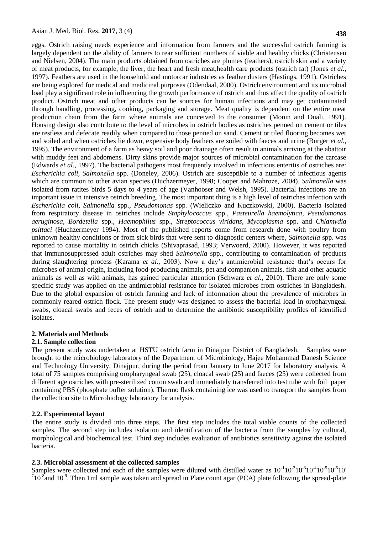eggs. Ostrich raising needs experience and information from farmers and the successful ostrich farming is largely dependent on the ability of farmers to rear sufficient numbers of viable and healthy chicks (Christensen and Nielsen, 2004). The main products obtained from ostriches are plumes (feathers), ostrich skin and a variety of meat products, for example, the liver, the heart and fresh meat,health care products (ostrich fat) (Jones *et al.,* 1997). Feathers are used in the household and motorcar industries as feather dusters (Hastings, 1991). Ostriches are being explored for medical and medicinal purposes (Odendaal, 2000). Ostrich environment and its microbial load play a significant role in influencing the growth performance of ostrich and thus affect the quality of ostrich product. Ostrich meat and other products can be sources for human infections and may get contaminated through handling, processing, cooking, packaging and storage. Meat quality is dependent on the entire meat production chain from the farm where animals are conceived to the consumer (Monin and Ouali, 1991). Housing design also contribute to the level of microbes in ostrich bodies as ostriches penned on cement or tiles are restless and defecate readily when compared to those penned on sand. Cement or tiled flooring becomes wet and soiled and when ostriches lie down, expensive body feathers are soiled with faeces and urine (Burger *et al.,* 1995). The environment of a farm as heavy soil and poor drainage often result in animals arriving at the abattoir with muddy feet and abdomens. Dirty skins provide major sources of microbial contamination for the carcase (Edwards *et al.,* 1997). The bacterial pathogens most frequently involved in infectious enteritis of ostriches are: *Escherichia coli, Salmonella* spp. (Doneley, 2006). Ostrich are susceptible to a number of infectious agents which are common to other avian species (Huchzermeyer, 1998; Cooper and Mahroze, 2004). *Salmonella* was isolated from ratites birds 5 days to 4 years of age (Vanhooser and Welsh, 1995). Bacterial infections are an important issue in intensive ostrich breeding. The most important thing is a high level of ostriches infection with *Escherichia coli, Salmonella* spp.*, Pseudomonas* spp*.* (Wieliczko and Kuczkowski, 2000). Bacteria isolated from respiratory disease in ostriches include *Staphylococcus* spp., *Pasteurella haemolytica, Pseudomonas aeruginosa, Bordetella* spp., *Haemophilus* spp.*, Streptococcus viridans, Mycoplasma* spp. and *Chlamydia psittaci* (Huchzermeyer 1994). Most of the published reports come from research done with poultry from unknown healthy conditions or from sick birds that were sent to diagnostic centers where, *Salmonella* spp. was reported to cause mortality in ostrich chicks (Shivaprasad, 1993; Verwoerd, 2000). However, it was reported that immunosuppressed adult ostriches may shed *Salmonella* spp., contributing to contamination of products during slaughtering process (Karama *et al.,* 2003). Now a day's antimicrobial resistance that's occurs for microbes of animal origin, including food-producing animals, pet and companion animals, fish and other aquatic animals as well as wild animals, has gained particular attention (Schwarz *et al.,* 2010). There are only some specific study was applied on the antimicrobial resistance for isolated microbes from ostriches in Bangladesh. Due to the global expansion of ostrich farming and lack of information about the prevalence of microbes in commonly reared ostrich flock. The present study was designed to assess the bacterial load in oropharyngeal swabs, cloacal swabs and feces of ostrich and to determine the antibiotic susceptibility profiles of identified isolates.

#### **2. Materials and Methods**

#### **2.1. Sample collection**

The present study was undertaken at HSTU ostrich farm in Dinajpur District of Bangladesh. Samples were brought to the microbiology laboratory of the Department of Microbiology, Hajee Mohammad Danesh Science and Technology University, Dinajpur, during the period from January to June 2017 for laboratory analysis. A total of 75 samples comprising oropharyngeal swab (25), cloacal swab (25) and faeces (25) were collected from different age ostriches with pre-sterilized cotton swab and immediately transferred into test tube with foil paper containing PBS (phosphate buffer solution). Thermo flask containing ice was used to transport the samples from the collection site to Microbiology laboratory for analysis.

#### **2.2. Experimental layout**

The entire study is divided into three steps. The first step includes the total viable counts of the collected samples. The second step includes isolation and identification of the bacteria from the samples by cultural, morphological and biochemical test. Third step includes evaluation of antibiotics sensitivity against the isolated bacteria.

#### **2.3. Microbial assessment of the collected samples**

Samples were collected and each of the samples were diluted with distilled water as  $10^{-1}10^{-2}10^{-3}10^{-6}10^{-6}10^{-6}$  $710^{-8}$  and  $10^{-9}$ . Then 1ml sample was taken and spread in Plate count agar (PCA) plate following the spread-plate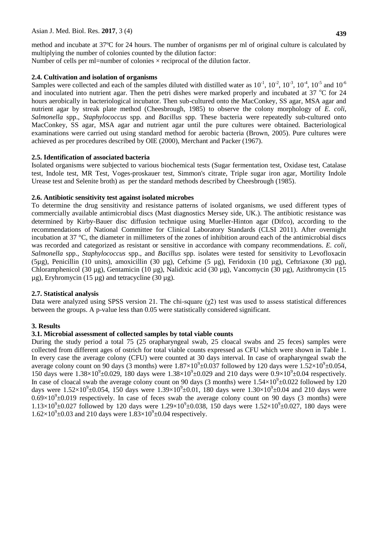method and incubate at 37ºC for 24 hours. The number of organisms per ml of original culture is calculated by multiplying the number of colonies counted by the dilution factor:

Number of cells per ml=number of colonies  $\times$  reciprocal of the dilution factor.

## **2.4. Cultivation and isolation of organisms**

Samples were collected and each of the samples diluted with distilled water as  $10^{-1}$ ,  $10^{-2}$ ,  $10^{-3}$ ,  $10^{-4}$ ,  $10^{-5}$  and  $10^{-6}$ and inoculated into nutrient agar. Then the petri dishes were marked properly and incubated at  $37 \degree$ C for  $24$ hours aerobically in bacteriological incubator. Then sub-cultured onto the MacConkey, SS agar, MSA agar and nutrient agar by streak plate method (Cheesbrough, 1985) to observe the colony morphology of *E. coli*, *Salmonella* spp., *Staphylococcus* spp. and *Bacillus* spp. These bacteria were repeatedly sub-cultured onto MacConkey, SS agar, MSA agar and nutrient agar until the pure cultures were obtained. Bacteriological examinations were carried out using standard method for aerobic bacteria (Brown, 2005). Pure cultures were achieved as per procedures described by OIE (2000), Merchant and Packer (1967).

## **2.5. Identification of associated bacteria**

Isolated organisms were subjected to various biochemical tests (Sugar fermentation test, Oxidase test, Catalase test, Indole test, MR Test, Voges-proskauer test, Simmon's citrate, Triple sugar iron agar, Mortility Indole Urease test and Selenite broth) as per the standard methods described by Cheesbrough (1985).

## **2.6. Antibiotic sensitivity test against isolated microbes**

To determine the drug sensitivity and resistance patterns of isolated organisms, we used different types of commercially available antimicrobial discs (Mast diagnostics Mersey side, UK.). The antibiotic resistance was determined by Kirby-Bauer disc diffusion technique using Mueller-Hinton agar (Difco), according to the recommendations of National Committee for Clinical Laboratory Standards (CLSI 2011). After overnight incubation at 37 °C, the diameter in millimeters of the zones of inhibition around each of the antimicrobial discs was recorded and categorized as resistant or sensitive in accordance with company recommendations. *E. coli, Salmonella* spp.*, Staphylococcus* spp., and *Bacillus* spp. isolates were tested for sensitivity to Levofloxacin  $(5\mu g)$ , Penicillin (10 units), amoxicillin (30  $\mu g$ ), Cefxime (5  $\mu g$ ), Feridoxin (10  $\mu g$ ), Ceftriaxone (30  $\mu g$ ), Chloramphenicol (30 µg), Gentamicin (10 µg), Nalidixic acid (30 µg), Vancomycin (30 µg), Azithromycin (15  $\mu$ g), Eryhromycin (15  $\mu$ g) and tetracycline (30  $\mu$ g).

# **2.7. Statistical analysis**

Data were analyzed using SPSS version 21. The chi-square  $(\chi^2)$  test was used to assess statistical differences between the groups. A p-value less than 0.05 were statistically considered significant.

# **3. Results**

## **3.1. Microbial assessment of collected samples by total viable counts**

During the study period a total 75 (25 orapharyngeal swab, 25 cloacal swabs and 25 feces) samples were collected from different ages of ostrich for total viable counts expressed as CFU which were shown in Table 1. In every case the average colony (CFU) were counted at 30 days interval. In case of orapharyngeal swab the average colony count on 90 days (3 months) were  $1.87 \times 10^9 \pm 0.037$  followed by 120 days were  $1.52 \times 10^9 \pm 0.054$ , 150 days were  $1.38 \times 10^{9} \pm 0.029$ , 180 days were  $1.38 \times 10^{9} \pm 0.029$  and 210 days were  $0.9 \times 10^{9} \pm 0.04$  respectively. In case of cloacal swab the average colony count on 90 days (3 months) were  $1.54 \times 10^9 \pm 0.022$  followed by 120 days were  $1.52\times10^{9} \pm 0.054$ , 150 days were  $1.39\times10^{9} \pm 0.01$ , 180 days were  $1.30\times10^{9} \pm 0.04$  and 210 days were  $0.69\times10^{9}$  ±0.019 respectively. In case of feces swab the average colony count on 90 days (3 months) were  $1.13\times10^{9}$  ±0.027 followed by 120 days were  $1.29\times10^{9}$  ±0.038, 150 days were  $1.52\times10^{9}$  ±0.027, 180 days were  $1.62 \times 10^{9} \pm 0.03$  and 210 days were  $1.83 \times 10^{9} \pm 0.04$  respectively.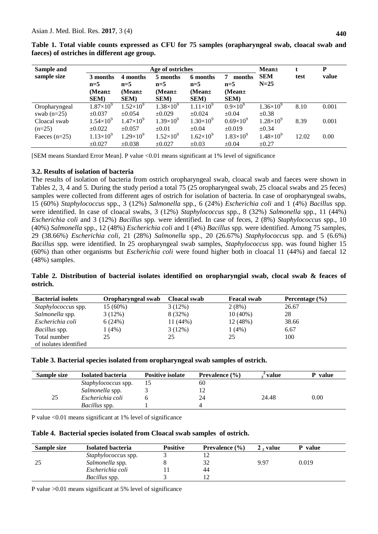| Age of ostriches<br>Sample and |                                           |                                                   |                                                  |                                                   |                                                     | Mean±                |       | P     |
|--------------------------------|-------------------------------------------|---------------------------------------------------|--------------------------------------------------|---------------------------------------------------|-----------------------------------------------------|----------------------|-------|-------|
| sample size                    | 3 months<br>$n=5$<br>$(Mean \pm)$<br>SEM) | 4 months<br>$n=5$<br>$(Mean \pm)$<br><b>SEM</b> ) | 5 months<br>$n=5$<br>(Mean $\pm$<br><b>SEM</b> ) | 6 months<br>$n=5$<br>$(Mean \pm)$<br><b>SEM</b> ) | 7<br>months<br>$n=5$<br>(Mean $\pm$<br><b>SEM</b> ) | <b>SEM</b><br>$N=25$ | test  | value |
| Oropharyngeal                  | $1.87\times10^{9}$                        | $1.52\times10^{9}$                                | $1.38\times10^{9}$                               | $1.11\times10^{9}$                                | $0.9\times10^{9}$                                   | $1.36\times10^{9}$   | 8.10  | 0.001 |
| swab $(n=25)$                  | $\pm 0.037$                               | $\pm 0.054$                                       | $\pm 0.029$                                      | $\pm 0.024$                                       | $\pm 0.04$                                          | $\pm 0.38$           |       |       |
| Cloacal swab                   | $1.54\times10^{9}$                        | $1.47\times10^{9}$                                | $1.39\times10^{9}$                               | $1.30\times10^{9}$                                | $0.69\times10^{9}$                                  | $1.28\times10^{9}$   | 8.39  | 0.001 |
| $(n=25)$                       | $\pm 0.022$                               | $\pm 0.057$                                       | $\pm 0.01$                                       | $\pm 0.04$                                        | $\pm 0.019$                                         | $\pm 0.34$           |       |       |
| Faeces $(n=25)$                | $1.13\times10^{9}$                        | $1.29\times10^{9}$                                | $1.52\times10^{9}$                               | $1.62\times10^{9}$                                | $1.83\times10^{9}$                                  | $1.48\times10^{9}$   | 12.02 | 0.00  |
|                                | $\pm 0.027$                               | $\pm 0.038$                                       | $+0.027$                                         | $\pm 0.03$                                        | $\pm 0.04$                                          | $\pm 0.27$           |       |       |

**Table 1. Total viable counts expressed as CFU for 75 samples (orapharyngeal swab, cloacal swab and faeces) of ostriches in different age group.** 

[SEM means Standard Error Mean]. P value <0.01 means significant at 1% level of significance

#### **3.2. Results of isolation of bacteria**

The results of isolation of bacteria from ostrich oropharyngeal swab, cloacal swab and faeces were shown in Tables 2, 3, 4 and 5. During the study period a total 75 (25 oropharyngeal swab, 25 cloacal swabs and 25 feces) samples were collected from different ages of ostrich for isolation of bacteria. In case of oropharyngeal swabs, 15 (60%) *Staphylococcus* spp., 3 (12%) *Salmonella* spp., 6 (24%) *Escherichia coli* and 1 (4%) *Bacillus* spp*.*  were identified. In case of cloacal swabs, 3 (12%) *Staphylococcus* spp., 8 (32%) *Salmonella* spp., 11 (44%) *Escherichia coli* and 3 (12%) *Bacillus* spp*.* were identified. In case of feces, 2 (8%) *Staphylococcus* spp., 10 (40%) *Salmonella* spp., 12 (48%) *Escherichia coli* and 1 (4%) *Bacillus* spp*.* were identified. Among 75 samples, 29 (38.66%) *Escherichia coli*, 21 (28%) *Salmonella* spp.*,* 20 (26.67%) *Staphylococcus* spp*.* and 5 (6.6%) *Bacillus* spp*.* were identified. In 25 oropharyngeal swab samples, *Staphylococcus* spp. was found higher 15 (60%) than other organisms but *Escherichia coli* were found higher both in cloacal 11 (44%) and faecal 12 (48%) samples.

**Table 2. Distribution of bacterial isolates identified on oropharyngial swab, clocal swab & feaces of ostrich.**

| <b>Bacterial isolets</b>   | Oropharyngeal swab | Cloacal swab | <b>Feacal swab</b> | Percentage $(\% )$ |
|----------------------------|--------------------|--------------|--------------------|--------------------|
| <i>Staphylococcus</i> spp. | 15(60%)            | 3(12%)       | 2(8%)              | 26.67              |
| Salmonella spp.            | 3(12%)             | 8 (32%)      | $10(40\%)$         | 28                 |
| Escherichia coli           | 6(24%)             | 11 (44%)     | 12 (48%)           | 38.66              |
| <i>Bacillus</i> spp.       | $(4\%)$            | 3(12%)       | $1(4\%)$           | 6.67               |
| Total number               | 25                 | 25           | 25                 | 100                |
| of isolates identified     |                    |              |                    |                    |

| Table 3. Bacterial species isolated from oropharyngeal swab samples of ostrich. |  |  |
|---------------------------------------------------------------------------------|--|--|
|                                                                                 |  |  |

| Sample size | <b>Isolated bacteria</b>   | <b>Positive isolate</b> | <b>Prevalence</b> $(\% )$ | * value | <b>P</b> value |
|-------------|----------------------------|-------------------------|---------------------------|---------|----------------|
|             | <i>Staphylococcus</i> spp. |                         | 60                        |         |                |
|             | Salmonella spp.            |                         |                           |         |                |
| 25          | Escherichia coli           |                         | 24                        | 24.48   | 0.00           |
|             | <i>Bacillus</i> spp.       |                         |                           |         |                |

P value <0.01 means significant at 1% level of significance

**Table 4. Bacterial species isolated from Cloacal swab samples of ostrich.** 

| Sample size | <b>Isolated bacteria</b>   | <b>Positive</b> | <b>Prevalence</b> $(\% )$ | $2 \times$ value | <b>P</b> value |
|-------------|----------------------------|-----------------|---------------------------|------------------|----------------|
|             | <i>Staphylococcus</i> spp. |                 |                           |                  |                |
|             | Salmonella spp.            |                 | 32                        | 9.97             | 0.019          |
|             | Escherichia coli           |                 | 44                        |                  |                |
|             | <i>Bacillus</i> spp.       |                 |                           |                  |                |

P value >0.01 means significant at 5% level of significance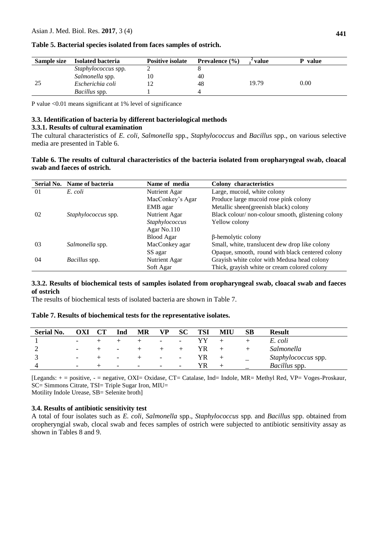| Sample size | <b>Isolated bacteria</b> | <b>Positive isolate</b> | <b>Prevalence</b> $(\% )$ | <i><b>*value</b></i> | P value |
|-------------|--------------------------|-------------------------|---------------------------|----------------------|---------|
|             | Staphylococcus spp.      |                         |                           |                      |         |
|             | Salmonella spp.          |                         | 40                        |                      |         |
| 25          | Escherichia coli         |                         | 48                        | 19.79                | 0.00    |
|             | <i>Bacillus</i> spp.     |                         |                           |                      |         |

## **Table 5. Bacterial species isolated from faces samples of ostrich.**

P value <0.01 means significant at 1% level of significance

#### **3.3. Identification of bacteria by different bacteriological methods**

#### **3.3.1. Results of cultural examination**

The cultural characteristics of *E. coli, Salmonella* spp., *Staphylococcus* and *Bacillus* spp., on various selective media are presented in Table 6.

## **Table 6. The results of cultural characteristics of the bacteria isolated from oropharyngeal swab, cloacal swab and faeces of ostrich.**

|    | Serial No. Name of bacteria | Name of media    | <b>Colony</b> characteristics                     |
|----|-----------------------------|------------------|---------------------------------------------------|
| 01 | E. coli                     | Nutrient Agar    | Large, mucoid, white colony                       |
|    |                             | MacConkey's Agar | Produce large mucoid rose pink colony             |
|    |                             | EMB agar         | Metallic sheen(greenish black) colony             |
| 02 | <i>Staphylococcus</i> spp.  | Nutrient Agar    | Black colour/non-colour smooth, glistening colony |
|    |                             | Staphylococcus   | Yellow colony                                     |
|    |                             | Agar No.110      |                                                   |
|    |                             | Blood Agar       | $\beta$ -hemolytic colony                         |
| 03 | Salmonella spp.             | MacConkey agar   | Small, white, translucent dew drop like colony    |
|    |                             | SS agar          | Opaque, smooth, round with black centered colony  |
| 04 | <i>Bacillus</i> spp.        | Nutrient Agar    | Grayish white color with Medusa head colony       |
|    |                             | Soft Agar        | Thick, grayish white or cream colored colony      |

## **3.3.2. Results of biochemical tests of samples isolated from oropharyngeal swab, cloacal swab and faeces of ostrich**

The results of biochemical tests of isolated bacteria are shown in Table 7.

## **Table 7. Results of biochemical tests for the representative isolates.**

| <b>Serial No.</b> | OXI                      | Ind                      | МR                       | VP                       | <b>SC</b>                | <b>TSI</b> | MIU | SВ | <b>Result</b>        |
|-------------------|--------------------------|--------------------------|--------------------------|--------------------------|--------------------------|------------|-----|----|----------------------|
|                   | $\overline{\phantom{0}}$ |                          |                          | $\overline{\phantom{0}}$ | $\overline{\phantom{0}}$ |            |     |    | E. coli              |
|                   | $\overline{\phantom{0}}$ | $\overline{\phantom{a}}$ |                          |                          |                          | YR         |     |    | Salmonella           |
|                   |                          | $\overline{\phantom{a}}$ |                          | $\overline{\phantom{0}}$ | $\overline{\phantom{a}}$ | YR         |     |    | Staphylococcus spp.  |
|                   | $\overline{\phantom{a}}$ | $\overline{\phantom{a}}$ | $\overline{\phantom{a}}$ | $\overline{\phantom{0}}$ | $\overline{\phantom{a}}$ | YR         |     |    | <i>Bacillus</i> spp. |

[Legands: + = positive, - = negative, OXI= Oxidase, CT= Catalase, Ind= Indole, MR= Methyl Red, VP= Voges-Proskaur, SC= Simmons Citrate, TSI= Triple Sugar Iron, MIU=

Motility Indole Urease, SB= Selenite broth]

## **3.4. Results of antibiotic sensitivity test**

A total of four isolates such as *E. coli*, *Salmonella* spp., *Staphylococcus* spp*.* and *Bacillus* spp. obtained from oropheryngial swab, clocal swab and feces samples of ostrich were subjected to antibiotic sensitivity assay as shown in Tables 8 and 9.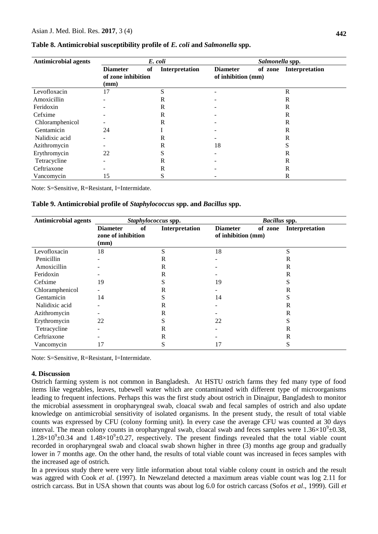| <b>Antimicrobial agents</b> |                                                          | E. coli |                |                                       | Salmonella spp. |                |
|-----------------------------|----------------------------------------------------------|---------|----------------|---------------------------------------|-----------------|----------------|
|                             | <b>Diameter</b><br>of zone inhibition<br>$(\mathbf{mm})$ | of      | Interpretation | <b>Diameter</b><br>of inhibition (mm) | of zone         | Interpretation |
| Levofloxacin                | 17                                                       | S       |                | -                                     |                 | $\mathbb{R}$   |
| Amoxicillin                 |                                                          | R       |                |                                       |                 | R              |
| Feridoxin                   |                                                          | R       |                |                                       |                 | R              |
| Cefxime                     |                                                          | R       |                |                                       |                 | R              |
| Chloramphenicol             |                                                          | R       |                |                                       |                 | R              |
| Gentamicin                  | 24                                                       |         |                |                                       |                 | R              |
| Nalidixic acid              |                                                          | R       |                |                                       |                 | $\mathbb{R}$   |
| Azithromycin                |                                                          | R       |                | 18                                    |                 | S              |
| Erythromycin                | 22                                                       |         |                |                                       |                 | R              |
| Tetracycline                |                                                          | R       |                |                                       |                 | R              |
| Ceftriaxone                 |                                                          | R       |                |                                       |                 | $\mathbb{R}$   |
| Vancomycin                  | 15                                                       | C       |                |                                       |                 | R              |

#### **Table 8. Antimicrobial susceptibility profile of** *E. coli* **and** *Salmonella* **spp.**

Note: S=Sensitive, R=Resistant, I=Intermidate.

**Table 9. Antimicrobial profile of** *Staphylococcus* **spp. and** *Bacillus* **spp.**

| <b>Antimicrobial agents</b> |                                                     | Staphylococcus spp. | <b>Bacillus</b> spp.                             |                   |
|-----------------------------|-----------------------------------------------------|---------------------|--------------------------------------------------|-------------------|
|                             | <b>Diameter</b><br>of<br>zone of inhibition<br>(mm) | Interpretation      | of zone<br><b>Diameter</b><br>of inhibition (mm) | Interpretation    |
| Levofloxacin                | 18                                                  | S                   | 18                                               | S                 |
| Penicillin                  |                                                     | R                   |                                                  | R                 |
| Amoxicillin                 |                                                     | R                   |                                                  | R                 |
| Feridoxin                   |                                                     | R                   |                                                  | R                 |
| Cefxime                     | 19                                                  | r.                  | 19                                               | Ő                 |
| Chloramphenicol             |                                                     | R                   |                                                  | R                 |
| Gentamicin                  | 14                                                  | S                   | 14                                               | Ő                 |
| Nalidixic acid              |                                                     | R                   |                                                  | R                 |
| Azithromycin                |                                                     | R                   |                                                  | R                 |
| Erythromycin                | 22                                                  | S                   | 22                                               | $\mathbf{C}$<br>C |
| Tetracycline                |                                                     | R                   |                                                  | R                 |
| Ceftriaxone                 |                                                     | R                   |                                                  | R                 |
| Vancomycin                  | 17                                                  | S                   | 17                                               | ົ                 |

Note: S=Sensitive, R=Resistant, I=Intermidate.

#### **4. Discussion**

Ostrich farming system is not common in Bangladesh. At HSTU ostrich farms they fed many type of food items like vegetables, leaves, tubewell water which are contaminated with different type of microorganisms leading to frequent infections. Perhaps this was the first study about ostrich in Dinajpur, Bangladesh to monitor the microbial assessment in oropharyngeal swab, cloacal swab and fecal samples of ostrich and also update knowledge on antimicrobial sensitivity of isolated organisms. In the present study, the result of total viable counts was expressed by CFU (colony forming unit). In every case the average CFU was counted at 30 days interval. The mean colony counts in oropharyngeal swab, cloacal swab and feces samples were  $1.36\times10^{9} \pm 0.38$ ,  $1.28 \times 10^{9} \pm 0.34$  and  $1.48 \times 10^{9} \pm 0.27$ , respectively. The present findings revealed that the total viable count recorded in oropharyngeal swab and cloacal swab shown higher in three (3) months age group and gradually lower in 7 months age. On the other hand, the results of total viable count was increased in feces samples with the increased age of ostrich.

In a previous study there were very little information about total viable colony count in ostrich and the result was aggred with Cook *et al*. (1997). In Newzeland detected a maximum areas viable count was log 2.11 for ostrich carcass. But in USA shown that counts was about log 6.0 for ostrich carcass (Sofos *et al*., 1999). Gill *et*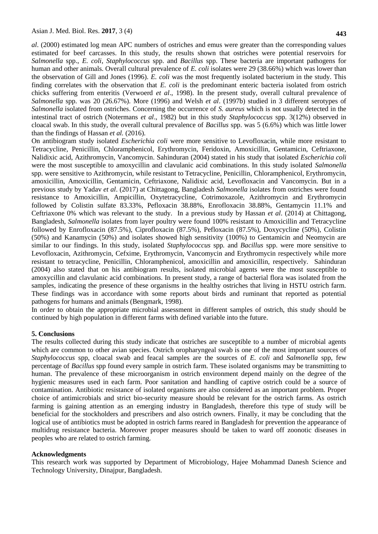*al*. (2000) estimated log mean APC numbers of ostriches and emus were greater than the corresponding values estimated for beef carcasses. In this study, the results shown that ostriches were potential reservoirs for *Salmonella* spp., *E. coli*, *Staphylococcus* spp. and *Bacillus* spp. These bacteria are important pathogens for human and other animals. Overall cultural prevalence of *E. coli* isolates were 29 (38.66%) which was lower than the observation of Gill and Jones (1996). *E. coli* was the most frequently isolated bacterium in the study. This finding correlates with the observation that *E. coli* is the predominant enteric bacteria isolated from ostrich chicks suffering from enteritis (Verwoerd *et al*., 1998). In the present study, overall cultural prevalence of *Salmonella* spp. was 20 (26.67%). More (1996) and Welsh *et al*. (1997b) studied in 3 different serotypes of *Salmonella* isolated from ostriches. Concerning the occurrence of *S. aureus* which is not usually detected in the intestinal tract of ostrich (Notermans *et al*., 1982) but in this study *Staphylococcus* spp. 3(12%) observed in cloacal swab. In this study, the overall cultural prevalence of *Bacillus* spp. was 5 (6.6%) which was little lower than the findings of Hassan *et al.* (2016).

On antibiogram study isolated *Escherichia coli* were more sensitive to Levofloxacin, while more resistant to Tetracycline, Penicillin, Chloramphenicol, Erythromycin, Feridoxin, Amoxicillin, Gentamicin, Ceftriaxone, Nalidixic acid, Azithromycin, Vancomycin. Sahinduran (2004) stated in his study that isolated *Escherichia coli* were the most susceptible to amoxycillin and clavulanic acid combinations. In this study isolated *Salmonella*  spp. were sensitive to Azithromycin, while resistant to Tetracycline, Penicillin, Chloramphenicol, Erythromycin, amoxicillin, Amoxicillin, Gentamicin, Ceftriaxone, Nalidixic acid, Levofloxacin and Vancomycin. But in a previous study by Yadav *et al*. (2017) at Chittagong, Bangladesh *Salmonella* isolates from ostriches were found resistance to Amoxicillin, Ampicillin, Oxytetracycline, Cotrimoxazole, Azithromycin and Erythromycin followed by Colistin sulfate 83.33%, Pefloxacin 38.88%, Enrofloxacin 38.88%, Gentamycin 11.1% and Ceftriaxone 0% which was relevant to the study. In a previous study by Hassan *et al*. (2014) at Chittagong, Bangladesh, *Salmonella* isolates from layer poultry were found 100% resistant to Amoxicillin and Tetracycline followed by Enrofloxacin (87.5%), Ciprofloxacin (87.5%), Pefloxacin (87.5%), Doxycycline (50%), Colistin (50%) and Kanamycin (50%) and isolates showed high sensitivity (100%) to Gentamicin and Neomycin are similar to our findings. In this study, isolated *Staphylococcus* spp*.* and *Bacillus* spp. were more sensitive to Levofloxacin, Azithromycin, Cefxime, Erythromycin, Vancomycin and Erythromycin respectively while more resistant to tetracycline, Penicillin, Chloramphenicol, amoxicillin and amoxicillin, respectively. Sahinduran (2004) also stated that on his antibiogram results, isolated microbial agents were the most susceptible to amoxycillin and clavulanic acid combinations. In present study, a range of bacterial flora was isolated from the samples, indicating the presence of these organisms in the healthy ostriches that living in HSTU ostrich farm. These findings was in accordance with some reports about birds and ruminant that reported as potential pathogens for humans and animals (Bengmark, 1998).

In order to obtain the appropriate microbial assessment in different samples of ostrich, this study should be continued by high population in different farms with defined variable into the future.

#### **5. Conclusions**

The results collected during this study indicate that ostriches are susceptible to a number of microbial agents which are common to other avian species. Ostrich oropharyngeal swab is one of the most important sources of *Staphylococcus* spp, cloacal swab and feacal samples are the sources of *E. coli* and *Salmonella* spp, few percentage of *Bacillus* spp found every sample in ostrich farm. These isolated organisms may be transmitting to human. The prevalence of these microorganism in ostrich environment depend mainly on the degree of the hygienic measures used in each farm. Poor sanitation and handling of captive ostrich could be a source of contamination. Antibiotic resistance of isolated organisms are also considered as an important problem. Proper choice of antimicrobials and strict bio-security measure should be relevant for the ostrich farms. As ostrich farming is gaining attention as an emerging industry in Bangladesh, therefore this type of study will be beneficial for the stockholders and prescribers and also ostrich owners. Finally, it may be concluding that the logical use of antibiotics must be adopted in ostrich farms reared in Bangladesh for prevention the appearance of multidrug resistance bacteria. Moreover proper measures should be taken to ward off zoonotic diseases in peoples who are related to ostrich farming.

#### **Acknowledgments**

This research work was supported by Department of Microbiology, Hajee Mohammad Danesh Science and Technology University, Dinajpur, Bangladesh.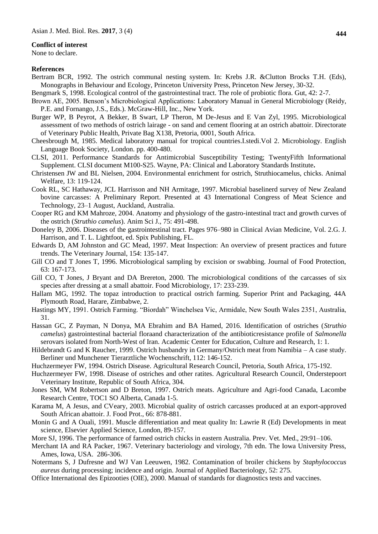#### **Conflict of interest**

None to declare.

#### **References**

- Bertram BCR, 1992. The ostrich communal nesting system. In: Krebs J.R. &Clutton Brocks T.H. (Eds), Monographs in Behaviour and Ecology, Princeton University Press, Princeton New Jersey, 30-32.
- Bengmark S, 1998. Ecological control of the gastrointestinal tract. The role of probiotic flora. Gut, 42: 2-7.
- Brown AE, 2005. Benson's Microbiological Applications: Laboratory Manual in General Microbiology (Reidy, P.E. and Fornango, J.S., Eds.). McGraw-Hill, Inc., New York.
- Burger WP, B Peyrot, A Bekker, B Swart, LP Theron, M De-Jesus and E Van Zyl, 1995. Microbiological assessment of two methods of ostrich lairage - on sand and cement flooring at an ostrich abattoir. Directorate of Veterinary Public Health, Private Bag X138, Pretoria, 0001, South Africa.
- Cheesbrough M, 1985. Medical laboratory manual for tropical countries.I.stedi.Vol 2. Microbiology. English Language Book Society, London. pp. 400-480.
- CLSI, 2011. Performance Standards for Antimicrobial Susceptibility Testing; TwentyFifth Informational Supplement. CLSI document M100-S25. Wayne, PA: Clinical and Laboratory Standards Institute**.**
- Christensen JW and BL Nielsen, 2004. Environmental enrichment for ostrich, Struthiocamelus, chicks. Animal Welfare, 13: 119-124.
- Cook RL, SC Hathaway, JCL Harrisson and NH Armitage, 1997. Microbial baselinerd survey of New Zealand bovine carcasses: A Preliminary Report. Presented at 43 International Congress of Meat Science and Technology, 23–1 August, Auckland, Australia.
- Cooper RG and KM Mahroze, 2004. Anatomy and physiology of the gastro-intestinal tract and growth curves of the ostrich (*Struthio camelus*). Anim Sci J., 75: 491-498.
- Doneley B, 2006. Diseases of the gastrointestinal tract. Pages 976–980 in Clinical Avian Medicine, Vol. 2.G. J. Harrison, and T. L. Lightfoot, ed. Spix Publishing, FL.
- Edwards D, AM Johnston and GC Mead, 1997. Meat Inspection: An overview of present practices and future trends. The Veterinary Journal, 154: 135-147.
- Gill CO and T Jones T, 1996. Microbiological sampling by excision or swabbing. Journal of Food Protection, 63: 167-173.
- Gill CO, T Jones, J Bryant and DA Brereton, 2000. The microbiological conditions of the carcasses of six species after dressing at a small abattoir. Food Microbiology, 17: 233-239.
- Hallam MG, 1992. The topaz introduction to practical ostrich farming. Superior Print and Packaging, 44A Plymouth Road, Harare, Zimbabwe, 2.
- Hastings MY, 1991. Ostrich Farming. "Biordah" Winchelsea Vic, Armidale, New South Wales 2351, Australia, 31.
- Hassan GC, Z Payman, N Donya, MA Ebrahim and BA Hamed, 2016. Identification of ostriches (*Struthio camelus*) gastrointestinal bacterial floraand characterization of the antibioticresistance profile of *Salmonella*  serovars isolated from North-West of Iran. Academic Center for Education, Culture and Research, 1: 1.
- Hildebrandt G and K Raucher, 1999. Ostrich husbandry in Germany/Ostrich meat from Namibia A case study. Berliner und Munchener Tierarztliche Wochenschrift, 112: 146-152.
- Huchzermeyer FW, 1994. Ostrich Disease. Agricultural Research Council, Pretoria, South Africa, 175-192.
- Huchzermeyer FW, 1998. Disease of ostriches and other ratites. Agricultural Research Council, Onderstepoort Veterinary Institute, Republic of South Africa, 304.
- Jones SM, WM Robertson and D Breton, 1997. Ostrich meats. Agriculture and Agri-food Canada, Lacombe Research Centre, TOC1 SO Alberta, Canada 1-5.
- Karama M, A Jesus, and CVeary, 2003. Microbial quality of ostrich carcasses produced at an export-approved South African abattoir. J. Food Prot., 66: 878-881.
- Monin G and A Ouali, 1991. Muscle differentiation and meat quality In: Lawrie R (Ed) Developments in meat science, Elsevier Applied Science, London, 89-157.
- More SJ, 1996. The performance of farmed ostrich chicks in eastern Australia. Prev. Vet. Med., 29:91–106.
- Merchant IA and RA Packer, 1967. Veterinary bacteriology and virology, 7th edn. The Iowa University Press, Ames, Iowa, USA. 286-306.
- Notermans S, J Dufresne and WJ Van Leeuwen, 1982. Contamination of broiler chickens by *Staphylococcus aureus* during processing; incidence and origin. Journal of Applied Bacteriology, 52: 275.
- Office International des Epizooties (OIE), 2000. Manual of standards for diagnostics tests and vaccines.